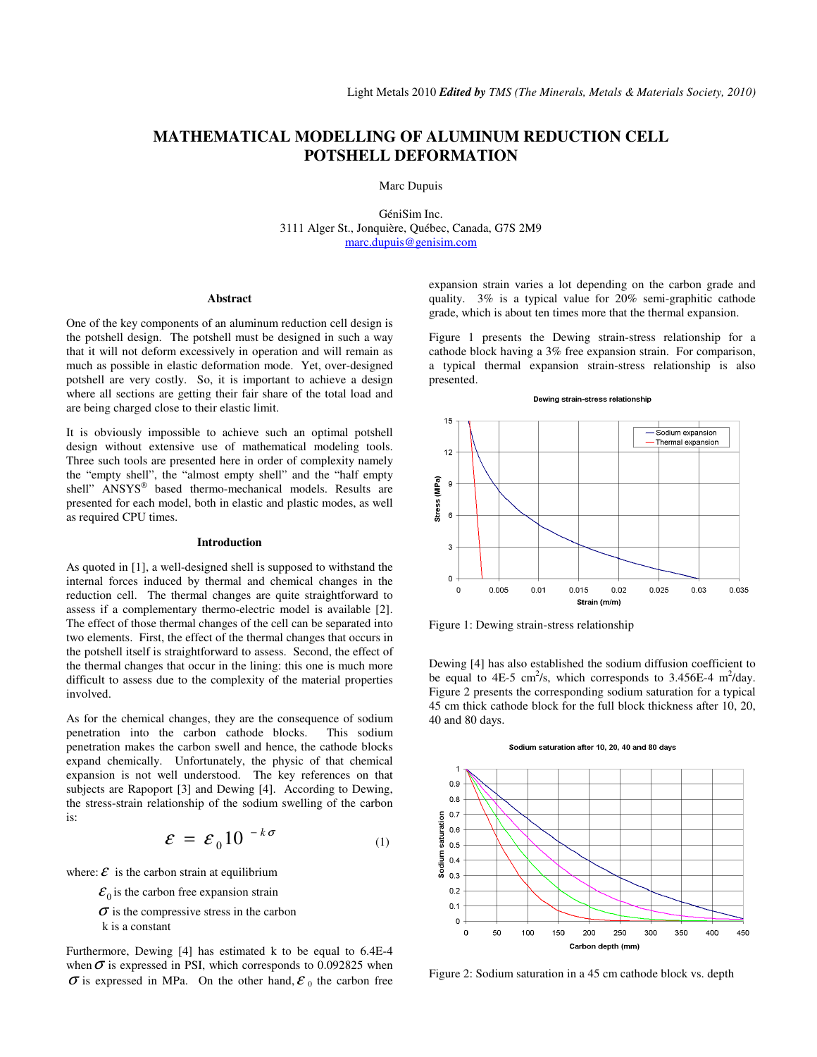# **MATHEMATICAL MODELLING OF ALUMINUM REDUCTION CELL POTSHELL DEFORMATION**

Marc Dupuis

GéniSim Inc. 3111 Alger St., Jonquière, Québec, Canada, G7S 2M9 marc.dupuis@genisim.com

#### **Abstract**

One of the key components of an aluminum reduction cell design is the potshell design. The potshell must be designed in such a way that it will not deform excessively in operation and will remain as much as possible in elastic deformation mode. Yet, over-designed potshell are very costly. So, it is important to achieve a design where all sections are getting their fair share of the total load and are being charged close to their elastic limit.

It is obviously impossible to achieve such an optimal potshell design without extensive use of mathematical modeling tools. Three such tools are presented here in order of complexity namely the "empty shell", the "almost empty shell" and the "half empty shell" ANSYS® based thermo-mechanical models. Results are presented for each model, both in elastic and plastic modes, as well as required CPU times.

## **Introduction**

As quoted in [1], a well-designed shell is supposed to withstand the internal forces induced by thermal and chemical changes in the reduction cell. The thermal changes are quite straightforward to assess if a complementary thermo-electric model is available [2]. The effect of those thermal changes of the cell can be separated into two elements. First, the effect of the thermal changes that occurs in the potshell itself is straightforward to assess. Second, the effect of the thermal changes that occur in the lining: this one is much more difficult to assess due to the complexity of the material properties involved.

As for the chemical changes, they are the consequence of sodium penetration into the carbon cathode blocks. This sodium penetration makes the carbon swell and hence, the cathode blocks expand chemically. Unfortunately, the physic of that chemical expansion is not well understood. The key references on that subjects are Rapoport [3] and Dewing [4]. According to Dewing, the stress-strain relationship of the sodium swelling of the carbon is:

$$
\varepsilon = \varepsilon_0 10^{-k\sigma} \tag{1}
$$

where:  $\mathcal{E}$  is the carbon strain at equilibrium

 $\mathcal{E}_0$  is the carbon free expansion strain

 $\sigma$  is the compressive stress in the carbon k is a constant

Furthermore, Dewing [4] has estimated k to be equal to 6.4E-4 when  $\sigma$  is expressed in PSI, which corresponds to 0.092825 when  $\sigma$  is expressed in MPa. On the other hand,  $\varepsilon_0$  the carbon free expansion strain varies a lot depending on the carbon grade and quality. 3% is a typical value for 20% semi-graphitic cathode grade, which is about ten times more that the thermal expansion.

Figure 1 presents the Dewing strain-stress relationship for a cathode block having a 3% free expansion strain. For comparison, a typical thermal expansion strain-stress relationship is also presented.



Figure 1: Dewing strain-stress relationship

Dewing [4] has also established the sodium diffusion coefficient to be equal to  $4E-5$  cm<sup>2</sup>/s, which corresponds to 3.456E-4 m<sup>2</sup>/day. Figure 2 presents the corresponding sodium saturation for a typical 45 cm thick cathode block for the full block thickness after 10, 20, 40 and 80 days.

#### $\overline{1}$  $0.9$  $0.8$  $0.7$ saturation  $0.6$  $0.5$ Sodium  $0.4$  $0.3$  $0.2$  $0.1$  $\overline{0}$  $\overline{0}$ 100 200 250 300 350 400 450 50 150 Carbon depth (mm)

Figure 2: Sodium saturation in a 45 cm cathode block vs. depth

# Sodium saturation after 10, 20, 40 and 80 days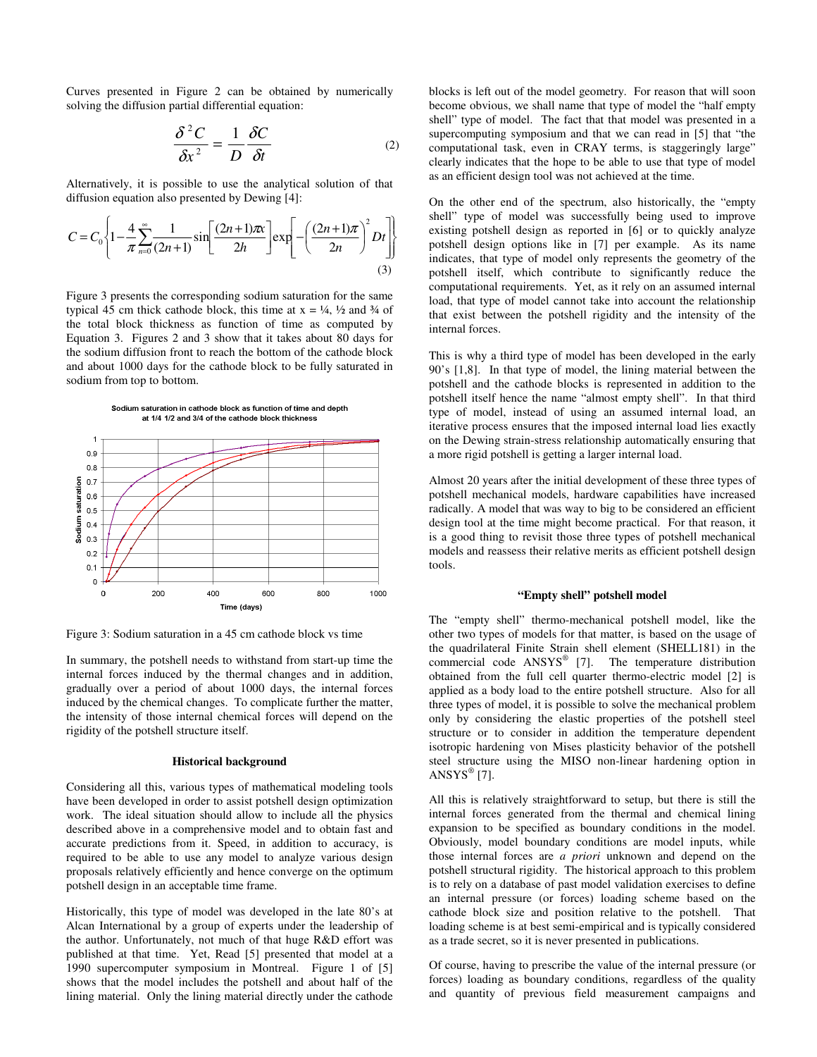Curves presented in Figure 2 can be obtained by numerically solving the diffusion partial differential equation:

$$
\frac{\delta^2 C}{\delta x^2} = \frac{1}{D} \frac{\delta C}{\delta t}
$$
 (2)

Alternatively, it is possible to use the analytical solution of that diffusion equation also presented by Dewing [4]:

$$
C = C_0 \left\{ 1 - \frac{4}{\pi} \sum_{n=0}^{\infty} \frac{1}{(2n+1)} \sin \left[ \frac{(2n+1)\pi x}{2h} \right] \exp \left[ -\left( \frac{(2n+1)\pi}{2n} \right)^2 Dt \right] \right\}
$$
(3)

Figure 3 presents the corresponding sodium saturation for the same typical 45 cm thick cathode block, this time at  $x = \frac{1}{4}$ ,  $\frac{1}{2}$  and  $\frac{3}{4}$  of the total block thickness as function of time as computed by Equation 3. Figures 2 and 3 show that it takes about 80 days for the sodium diffusion front to reach the bottom of the cathode block and about 1000 days for the cathode block to be fully saturated in sodium from top to bottom.





Figure 3: Sodium saturation in a 45 cm cathode block vs time

In summary, the potshell needs to withstand from start-up time the internal forces induced by the thermal changes and in addition, gradually over a period of about 1000 days, the internal forces induced by the chemical changes. To complicate further the matter, the intensity of those internal chemical forces will depend on the rigidity of the potshell structure itself.

# **Historical background**

Considering all this, various types of mathematical modeling tools have been developed in order to assist potshell design optimization work. The ideal situation should allow to include all the physics described above in a comprehensive model and to obtain fast and accurate predictions from it. Speed, in addition to accuracy, is required to be able to use any model to analyze various design proposals relatively efficiently and hence converge on the optimum potshell design in an acceptable time frame.

Historically, this type of model was developed in the late 80's at Alcan International by a group of experts under the leadership of the author. Unfortunately, not much of that huge R&D effort was published at that time. Yet, Read [5] presented that model at a 1990 supercomputer symposium in Montreal. Figure 1 of [5] shows that the model includes the potshell and about half of the lining material. Only the lining material directly under the cathode

blocks is left out of the model geometry. For reason that will soon become obvious, we shall name that type of model the "half empty shell" type of model. The fact that that model was presented in a supercomputing symposium and that we can read in [5] that "the computational task, even in CRAY terms, is staggeringly large" clearly indicates that the hope to be able to use that type of model as an efficient design tool was not achieved at the time.

On the other end of the spectrum, also historically, the "empty shell" type of model was successfully being used to improve existing potshell design as reported in [6] or to quickly analyze potshell design options like in [7] per example. As its name indicates, that type of model only represents the geometry of the potshell itself, which contribute to significantly reduce the computational requirements. Yet, as it rely on an assumed internal load, that type of model cannot take into account the relationship that exist between the potshell rigidity and the intensity of the internal forces.

This is why a third type of model has been developed in the early 90's [1,8]. In that type of model, the lining material between the potshell and the cathode blocks is represented in addition to the potshell itself hence the name "almost empty shell". In that third type of model, instead of using an assumed internal load, an iterative process ensures that the imposed internal load lies exactly on the Dewing strain-stress relationship automatically ensuring that a more rigid potshell is getting a larger internal load.

Almost 20 years after the initial development of these three types of potshell mechanical models, hardware capabilities have increased radically. A model that was way to big to be considered an efficient design tool at the time might become practical. For that reason, it is a good thing to revisit those three types of potshell mechanical models and reassess their relative merits as efficient potshell design tools.

# **"Empty shell" potshell model**

The "empty shell" thermo-mechanical potshell model, like the other two types of models for that matter, is based on the usage of the quadrilateral Finite Strain shell element (SHELL181) in the commercial code ANSYS® [7]. The temperature distribution obtained from the full cell quarter thermo-electric model [2] is applied as a body load to the entire potshell structure. Also for all three types of model, it is possible to solve the mechanical problem only by considering the elastic properties of the potshell steel structure or to consider in addition the temperature dependent isotropic hardening von Mises plasticity behavior of the potshell steel structure using the MISO non-linear hardening option in  $ANSYS^{\circledast}$  [7].

All this is relatively straightforward to setup, but there is still the internal forces generated from the thermal and chemical lining expansion to be specified as boundary conditions in the model. Obviously, model boundary conditions are model inputs, while those internal forces are *a priori* unknown and depend on the potshell structural rigidity. The historical approach to this problem is to rely on a database of past model validation exercises to define an internal pressure (or forces) loading scheme based on the cathode block size and position relative to the potshell. That loading scheme is at best semi-empirical and is typically considered as a trade secret, so it is never presented in publications.

Of course, having to prescribe the value of the internal pressure (or forces) loading as boundary conditions, regardless of the quality and quantity of previous field measurement campaigns and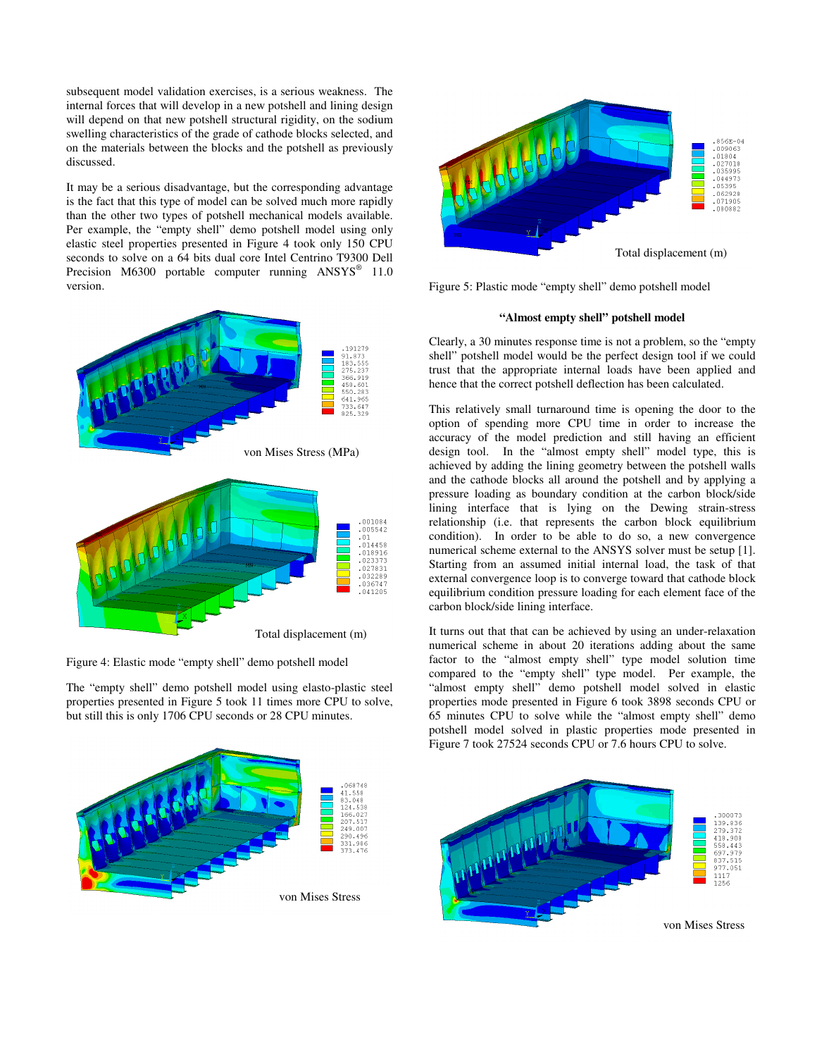subsequent model validation exercises, is a serious weakness. The internal forces that will develop in a new potshell and lining design will depend on that new potshell structural rigidity, on the sodium swelling characteristics of the grade of cathode blocks selected, and on the materials between the blocks and the potshell as previously discussed.

It may be a serious disadvantage, but the corresponding advantage is the fact that this type of model can be solved much more rapidly than the other two types of potshell mechanical models available. Per example, the "empty shell" demo potshell model using only elastic steel properties presented in Figure 4 took only 150 CPU seconds to solve on a 64 bits dual core Intel Centrino T9300 Dell Precision M6300 portable computer running ANSYS<sup>®</sup> 11.0 version.



Figure 4: Elastic mode "empty shell" demo potshell model

The "empty shell" demo potshell model using elasto-plastic steel properties presented in Figure 5 took 11 times more CPU to solve, but still this is only 1706 CPU seconds or 28 CPU minutes.





Figure 5: Plastic mode "empty shell" demo potshell model

# **"Almost empty shell" potshell model**

Clearly, a 30 minutes response time is not a problem, so the "empty shell" potshell model would be the perfect design tool if we could trust that the appropriate internal loads have been applied and hence that the correct potshell deflection has been calculated.

This relatively small turnaround time is opening the door to the option of spending more CPU time in order to increase the accuracy of the model prediction and still having an efficient design tool. In the "almost empty shell" model type, this is achieved by adding the lining geometry between the potshell walls and the cathode blocks all around the potshell and by applying a pressure loading as boundary condition at the carbon block/side lining interface that is lying on the Dewing strain-stress relationship (i.e. that represents the carbon block equilibrium condition). In order to be able to do so, a new convergence numerical scheme external to the ANSYS solver must be setup [1]. Starting from an assumed initial internal load, the task of that external convergence loop is to converge toward that cathode block equilibrium condition pressure loading for each element face of the carbon block/side lining interface.

It turns out that that can be achieved by using an under-relaxation numerical scheme in about 20 iterations adding about the same factor to the "almost empty shell" type model solution time compared to the "empty shell" type model. Per example, the "almost empty shell" demo potshell model solved in elastic properties mode presented in Figure 6 took 3898 seconds CPU or 65 minutes CPU to solve while the "almost empty shell" demo potshell model solved in plastic properties mode presented in Figure 7 took 27524 seconds CPU or 7.6 hours CPU to solve.

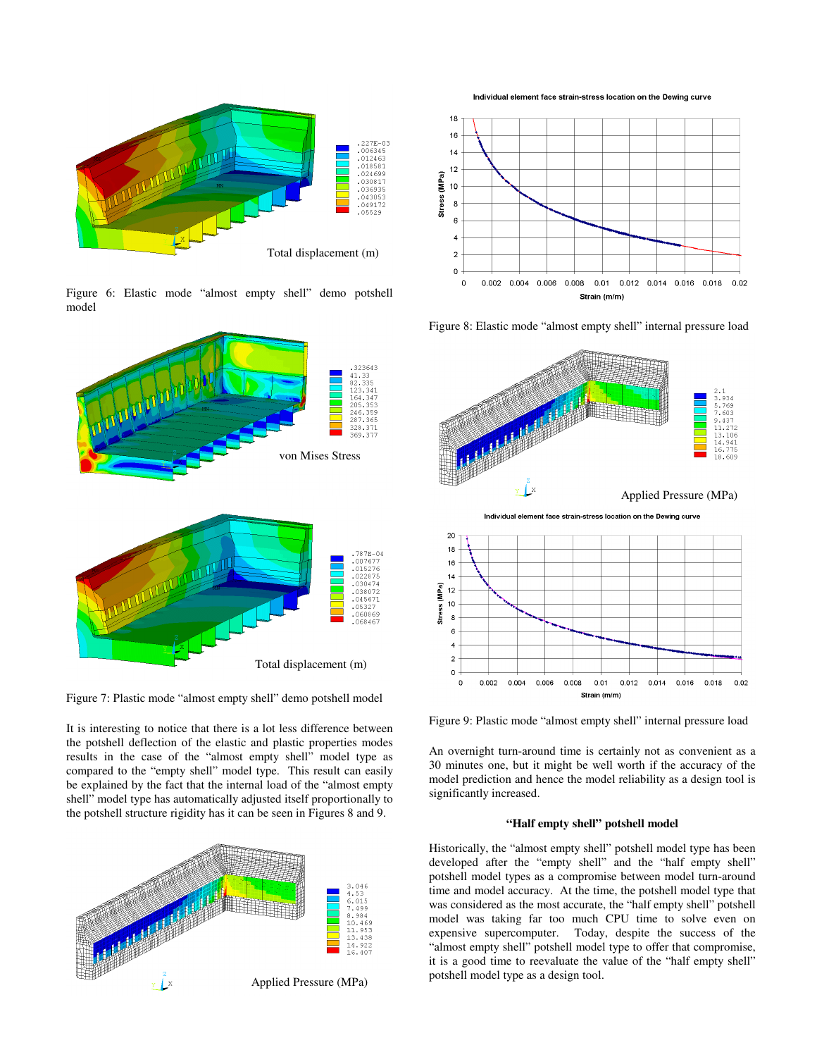

Figure 6: Elastic mode "almost empty shell" demo potshell model



Figure 7: Plastic mode "almost empty shell" demo potshell model

It is interesting to notice that there is a lot less difference between the potshell deflection of the elastic and plastic properties modes results in the case of the "almost empty shell" model type as compared to the "empty shell" model type. This result can easily be explained by the fact that the internal load of the "almost empty shell" model type has automatically adjusted itself proportionally to the potshell structure rigidity has it can be seen in Figures 8 and 9.



Individual element face strain-stress location on the Dewing curve



Figure 8: Elastic mode "almost empty shell" internal pressure load



Figure 9: Plastic mode "almost empty shell" internal pressure load

An overnight turn-around time is certainly not as convenient as a 30 minutes one, but it might be well worth if the accuracy of the model prediction and hence the model reliability as a design tool is significantly increased.

# **"Half empty shell" potshell model**

Historically, the "almost empty shell" potshell model type has been developed after the "empty shell" and the "half empty shell" potshell model types as a compromise between model turn-around time and model accuracy. At the time, the potshell model type that was considered as the most accurate, the "half empty shell" potshell model was taking far too much CPU time to solve even on expensive supercomputer. Today, despite the success of the "almost empty shell" potshell model type to offer that compromise, it is a good time to reevaluate the value of the "half empty shell" potshell model type as a design tool.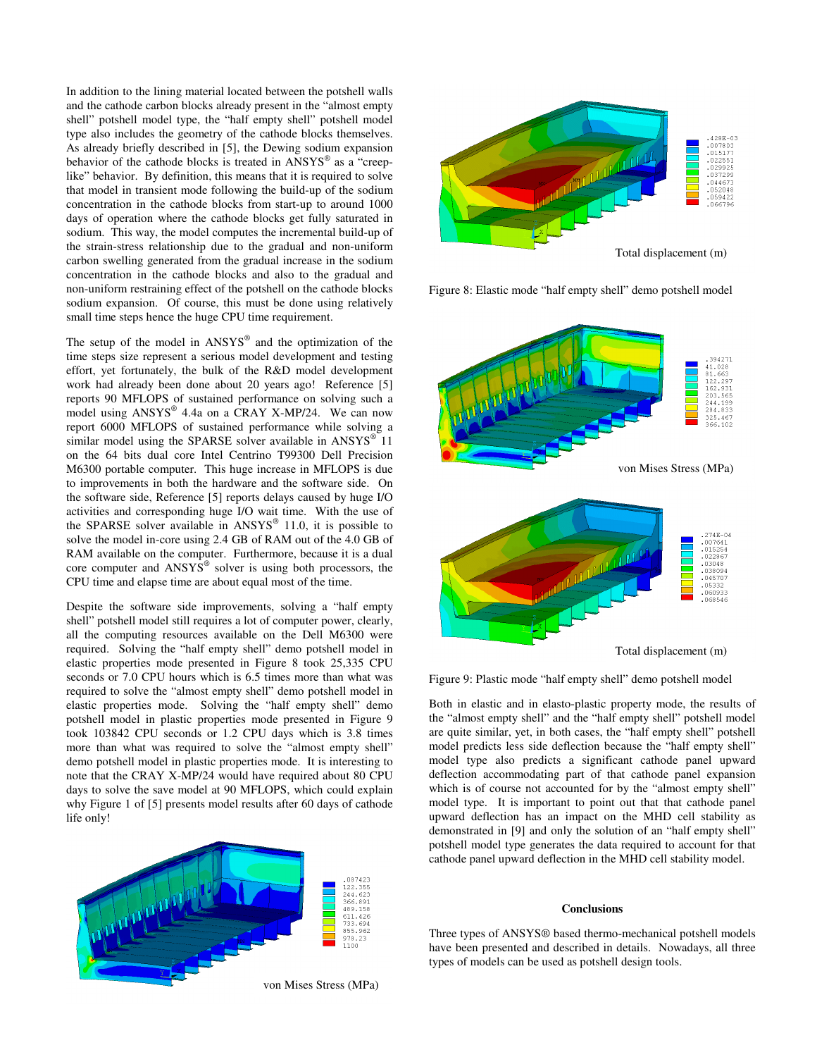In addition to the lining material located between the potshell walls and the cathode carbon blocks already present in the "almost empty shell" potshell model type, the "half empty shell" potshell model type also includes the geometry of the cathode blocks themselves. As already briefly described in [5], the Dewing sodium expansion behavior of the cathode blocks is treated in ANSYS® as a "creeplike" behavior. By definition, this means that it is required to solve that model in transient mode following the build-up of the sodium concentration in the cathode blocks from start-up to around 1000 days of operation where the cathode blocks get fully saturated in sodium. This way, the model computes the incremental build-up of the strain-stress relationship due to the gradual and non-uniform carbon swelling generated from the gradual increase in the sodium concentration in the cathode blocks and also to the gradual and non-uniform restraining effect of the potshell on the cathode blocks sodium expansion. Of course, this must be done using relatively small time steps hence the huge CPU time requirement.

The setup of the model in  $ANSYS^{\circledast}$  and the optimization of the time steps size represent a serious model development and testing effort, yet fortunately, the bulk of the R&D model development work had already been done about 20 years ago! Reference [5] reports 90 MFLOPS of sustained performance on solving such a model using ANSYS® 4.4a on a CRAY X-MP/24. We can now report 6000 MFLOPS of sustained performance while solving a similar model using the SPARSE solver available in  $ANSYS^{\circledast}$  11 on the 64 bits dual core Intel Centrino T99300 Dell Precision M6300 portable computer. This huge increase in MFLOPS is due to improvements in both the hardware and the software side. On the software side, Reference [5] reports delays caused by huge I/O activities and corresponding huge I/O wait time. With the use of the SPARSE solver available in  $ANSYS^{\circledast}$  11.0, it is possible to solve the model in-core using 2.4 GB of RAM out of the 4.0 GB of RAM available on the computer. Furthermore, because it is a dual core computer and  $ANSYS^@$  solver is using both processors, the CPU time and elapse time are about equal most of the time.

Despite the software side improvements, solving a "half empty shell" potshell model still requires a lot of computer power, clearly, all the computing resources available on the Dell M6300 were required. Solving the "half empty shell" demo potshell model in elastic properties mode presented in Figure 8 took 25,335 CPU seconds or 7.0 CPU hours which is 6.5 times more than what was required to solve the "almost empty shell" demo potshell model in elastic properties mode. Solving the "half empty shell" demo potshell model in plastic properties mode presented in Figure 9 took 103842 CPU seconds or 1.2 CPU days which is 3.8 times more than what was required to solve the "almost empty shell" demo potshell model in plastic properties mode. It is interesting to note that the CRAY X-MP/24 would have required about 80 CPU days to solve the save model at 90 MFLOPS, which could explain why Figure 1 of [5] presents model results after 60 days of cathode life only!





Figure 8: Elastic mode "half empty shell" demo potshell model



Figure 9: Plastic mode "half empty shell" demo potshell model

Both in elastic and in elasto-plastic property mode, the results of the "almost empty shell" and the "half empty shell" potshell model are quite similar, yet, in both cases, the "half empty shell" potshell model predicts less side deflection because the "half empty shell" model type also predicts a significant cathode panel upward deflection accommodating part of that cathode panel expansion which is of course not accounted for by the "almost empty shell" model type. It is important to point out that that cathode panel upward deflection has an impact on the MHD cell stability as demonstrated in [9] and only the solution of an "half empty shell" potshell model type generates the data required to account for that cathode panel upward deflection in the MHD cell stability model.

# **Conclusions**

Three types of ANSYS® based thermo-mechanical potshell models have been presented and described in details. Nowadays, all three types of models can be used as potshell design tools.